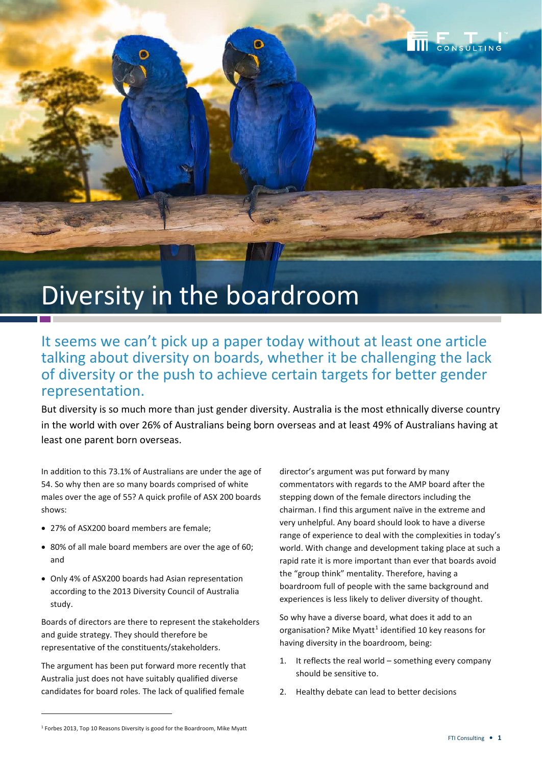## Diversity in the boardroom

## It seems we can't pick up a paper today without at least one article talking about diversity on boards, whether it be challenging the lack of diversity or the push to achieve certain targets for better gender representation.

But diversity is so much more than just gender diversity. Australia is the most ethnically diverse country in the world with over 26% of Australians being born overseas and at least 49% of Australians having at least one parent born overseas.

In addition to this 73.1% of Australians are under the age of 54. So why then are so many boards comprised of white males over the age of 55? A quick profile of ASX 200 boards shows:

- 27% of ASX200 board members are female;
- 80% of all male board members are over the age of 60; and
- Only 4% of ASX200 boards had Asian representation according to the 2013 Diversity Council of Australia study.

Boards of directors are there to represent the stakeholders and guide strategy. They should therefore be representative of the constituents/stakeholders.

The argument has been put forward more recently that Australia just does not have suitably qualified diverse candidates for board roles. The lack of qualified female

director's argument was put forward by many commentators with regards to the AMP board after the stepping down of the female directors including the chairman. I find this argument naïve in the extreme and very unhelpful. Any board should look to have a diverse range of experience to deal with the complexities in today's world. With change and development taking place at such a rapid rate it is more important than ever that boards avoid the "group think" mentality. Therefore, having a boardroom full of people with the same background and experiences is less likely to deliver diversity of thought.

So why have a diverse board, what does it add to an organisation? Mike Myatt<sup>[1](#page-0-0)</sup> identified 10 key reasons for having diversity in the boardroom, being:

- 1. It reflects the real world something every company should be sensitive to.
- 2. Healthy debate can lead to better decisions

 $\overline{a}$ 

**THE CONSULTING** 

<span id="page-0-0"></span><sup>1</sup> Forbes 2013, Top 10 Reasons Diversity is good for the Boardroom, Mike Myatt